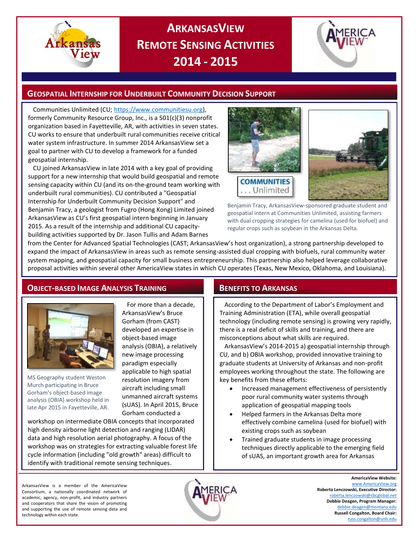

# **ARKANSASVIEW REMOTE SENSING ACTIVITIES 2014 - 2015**



## **GEOSPATIAL INTERNSHIP FOR UNDERBUILT COMMUNITY DECISION SUPPORT**

Communities Unlimited (CU[; https://www.communitiesu.org\)](https://www.communitiesu.org/), formerly Community Resource Group, Inc., is a 501(c)(3) nonprofit organization based in Fayetteville, AR, with activities in seven states. CU works to ensure that underbuilt rural communities receive critical water system infrastructure. In summer 2014 ArkansasView set a goal to partner with CU to develop a framework for a funded geospatial internship.

CU joined ArkansasView in late 2014 with a key goal of providing support for a new internship that would build geospatial and remote sensing capacity within CU (and its on-the-ground team working with underbuilt rural communities). CU contributed a "Geospatial Internship for Underbuilt Community Decision Support" and Benjamin Tracy, a geologist from Fugro (Hong Kong) Limited joined ArkansasView as CU's first geospatial intern beginning in January 2015. As a result of the internship and additional CU capacitybuilding activities supported by Dr. Jason Tullis and Adam Barnes



Benjamin Tracy, ArkansasView-sponsored graduate student and geospatial intern at Communities Unlimited, assisting farmers with dual cropping strategies for camelina (used for biofuel) and regular crops such as soybean in the Arkansas Delta.

from the Center for Advanced Spatial Technologies (CAST; ArkansasView's host organization), a strong partnership developed to expand the impact of ArkansasView in areas such as remote sensing-assisted dual cropping with biofuels, rural community water system mapping, and geospatial capacity for small business entrepreneurship. This partnership also helped leverage collaborative proposal activities within several other AmericaView states in which CU operates (Texas, New Mexico, Oklahoma, and Louisiana).

# **OBJECT-BASED IMAGE ANALYSIS TRAINING BENEFITS TO ARKANSAS**



MS Geography student Weston Murch participating in Bruce Gorham's object-based image analysis (OBIA) workshop held in late Apr 2015 in Fayetteville, AR.

For more than a decade, ArkansasView's Bruce Gorham (from CAST) developed an expertise in object-based image analysis (OBIA), a relatively new image processing paradigm especially applicable to high spatial resolution imagery from aircraft including small unmanned aircraft systems (sUAS). In April 2015, Bruce Gorham conducted a

workshop on intermediate OBIA concepts that incorporated high density airborne light detection and ranging (LIDAR) data and high resolution aerial photography. A focus of the workshop was on strategies for extracting valuable forest life cycle information (including "old growth" areas) difficult to identify with traditional remote sensing techniques.

According to the Department of Labor's Employment and Training Administration (ETA), while overall geospatial technology (including remote sensing) is growing very rapidly, there is a real deficit of skills and training, and there are misconceptions about what skills are required.

ArkansasView's 2014-2015 a) geospatial internship through CU, and b) OBIA workshop, provided innovative training to graduate students at University of Arkansas and non-profit employees working throughout the state. The following are key benefits from these efforts:

- Increased management effectiveness of persistently poor rural community water systems through application of geospatial mapping tools
- Helped farmers in the Arkansas Delta more effectively combine camelina (used for biofuel) with existing crops such as soybean
- Trained graduate students in image processing techniques directly applicable to the emerging field of sUAS, an important growth area for Arkansas

ArkansasView is a member of the AmericaView Consortium, a nationally coordinated network of academic, agency, non-profit, and industry partners and cooperators that share the vision of promoting and supporting the use of remote sensing data and technology within each state.



**AmericaView Website:** [www.AmericaView.org](http://www.americaview.org/) **Roberta Lenczowski, Executive Director:** [roberta.lenczowski@sbcglobal.net](mailto:roberta.lenczowski@sbcglobal.net) **Debbie Deagen, Program Manager:** [debbie.deagen@montana.edu](mailto:debbie.deagen@montana.edu) **Russell Congalton, Board Chair:** [russ.congalton@unh.edu](mailto:russ.congalton@unh.edu)